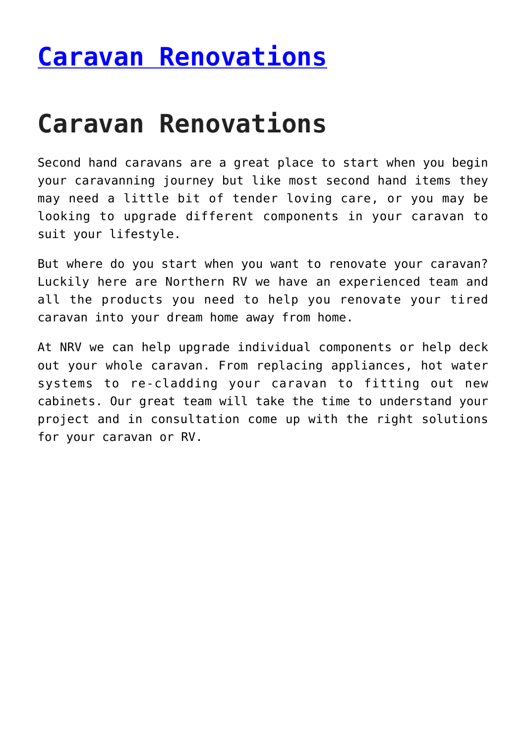## **[Caravan Renovations](https://www.northernrv.com.au/caravan-restorations/)**

## **Caravan Renovations**

Second hand caravans are a great place to start when you begin your caravanning journey but like most second hand items they may need a little bit of tender loving care, or you may be looking to upgrade different components in your caravan to suit your lifestyle.

But where do you start when you want to renovate your caravan? Luckily here are Northern RV we have an experienced team and all the products you need to help you renovate your tired caravan into your dream home away from home.

At NRV we can help upgrade individual components or help deck out your whole caravan. From replacing appliances, hot water systems to re-cladding your caravan to fitting out new cabinets. Our great team will take the time to understand your project and in consultation come up with the right solutions for your caravan or RV.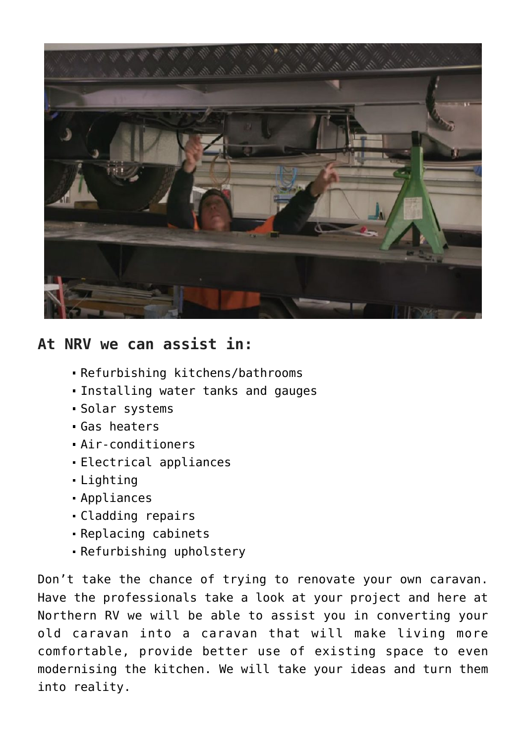

## **At NRV we can assist in:**

- Refurbishing kitchens/bathrooms
- Installing water tanks and gauges
- Solar systems
- Gas heaters
- Air-conditioners
- Electrical appliances
- Lighting
- Appliances
- Cladding repairs
- Replacing cabinets
- Refurbishing upholstery

Don't take the chance of trying to renovate your own caravan. Have the professionals take a look at your project and here at Northern RV we will be able to assist you in converting your old caravan into a caravan that will make living more comfortable, provide better use of existing space to even modernising the kitchen. We will take your ideas and turn them into reality.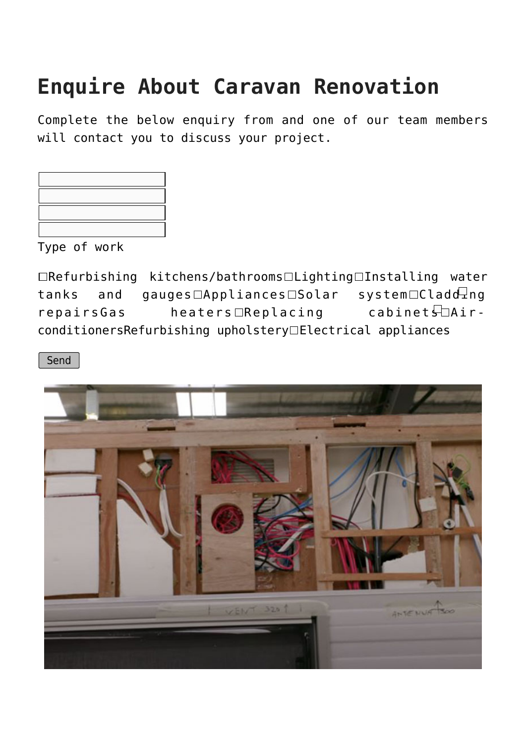## **Enquire About Caravan Renovation**

Complete the below enquiry from and one of our team members will contact you to discuss your project.

Type of work

 $\Box$ Refurbishing kitchens/bathrooms $\Box$ Lighting $\Box$ Installing water tanks and gauges  $\Box$ Appliances  $\Box$ Solar system  $\Box$ Cladd $\overline{\Box}$ ng  $repairsGas$  heaters Replacing cabinet  $\Box$ AirconditionersRefurbishing upholstery Electrical appliances

Send